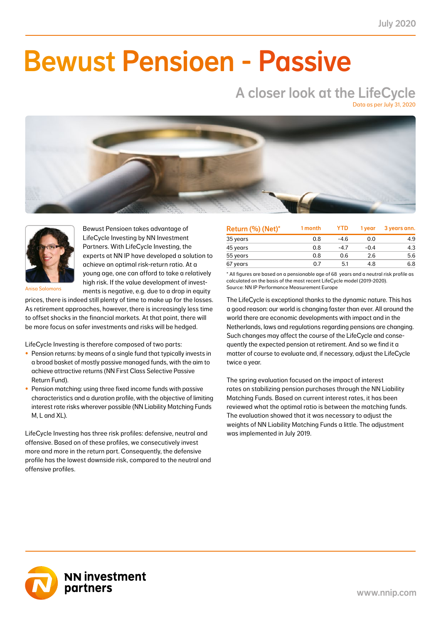NN First Class Selective Passive Return Fund 0.8 0.3 -6.7 -2.8 -1.5 -0.6 3.9 1.6 12.3 5.2 41.0

### NN Liability Matching Fund M 0.1 0.1 1.1 0.4 0.0 0.0 1.2 0.5 3.7 1.5 38.0 NN Liability Matching Fund L 1.0 0.1 13.1 1.3 10.7 1.1 12.8 1.3 43.7 4.2 10.0 NN Liability Matching Fund XL 2.4 0.3 31.1 3.4 28.5 3.2 26.9 2.8 104.4 8.9 11.0 Bewust Pensioen - Passive

### A closer look at the LifeCycle Data as per July 31, 2020

NN Liability Matching Fund M 0.1 0.0 1.1 0.4 0.0 0.0 1.2 0.5 3.7 1.5 33.0 NN Liability Matching Fund L 1.0 0.5 13.1 6.1 10.7 5.1 12.8 5.6 43.7 17.9 47.0 NN Liability Matching Fund XL 2.4 0.0 31.1 0.0 28.5 0.0 26.9 0.0 104.4 0.0 0.0 TOTAL 0.7 5.1 4.8 6.8 22.0 100%  $\sim$  Over the figures shown in the figures shown in the figures shown in the most recent weighting on the most recent weighting on the most recent weighting of the most recent weighting on the most recent weighting of the This means that the returns shown in the column 'year to date contribution' cannot exactly be derived from this report. The contribution is the contribution to the total net return based on the current weights in the LifeCycle model (2019-2020) Source: NN IP Performance Measurement Europe



Bewust Pensioen takes advantage of LifeCycle Investing by NN Investment Partners. With LifeCycle Investing, the experts at NN IP have developed a solution to achieve an optimal risk-return ratio. At a young age, one can afford to take a relatively high risk. If the value development of investments is negative, e.g. due to a drop in equity

Anisa Salomons

prices, there is indeed still plenty of time to make up for the losses. As retirement approaches, however, there is increasingly less time to offset shocks in the financial markets. At that point, there will be more focus on safer investments and risks will be hedged.

LifeCycle Investing is therefore composed of two parts:

- Pension returns: by means of a single fund that typically invests in a broad basket of mostly passive managed funds, with the aim to achieve attractive returns (NN First Class Selective Passive Return Fund).
- Pension matching: using three fixed income funds with passive characteristics and a duration profile, with the objective of limiting interest rate risks wherever possible (NN Liability Matching Funds M, L and XL).

LifeCycle Investing has three risk profiles: defensive, neutral and offensive. Based on of these profiles, we consecutively invest more and more in the return part. Consequently, the defensive profile has the lowest downside risk, compared to the neutral and offensive profiles.

| Return (%) (Net)* | 1 month | <b>YTD</b> | 1 vear | 3 years ann. |
|-------------------|---------|------------|--------|--------------|
| 35 years          | 0.8     | $-4.6$     | 0.0    | 4.9          |
| 45 years          | 0.8     | -4.7       | $-0.4$ | 4.3          |
| 55 years          | 0.8     | 0.6        | 2.6    | 5.6          |
| 67 years          | 0.7     | 5.1        | 4.8    | 6.8          |

\* All figures are based on a pensionable age of 68 years and a neutral risk profile as calculated on the basis of the most recent LifeCycle model (2019-2020). Source: NN IP Performance Measurement Europe

The LifeCycle is exceptional thanks to the dynamic nature. This has a good reason: our world is changing faster than ever. All around the world there are economic developments with impact and in the Netherlands, laws and regulations regarding pensions are changing. Such changes may affect the course of the LifeCycle and consequently the expected pension at retirement. And so we find it a matter of course to evaluate and, if necessary, adjust the LifeCycle twice a year.

The spring evaluation focused on the impact of interest rates on stabilizing pension purchases through the NN Liability Matching Funds. Based on current interest rates, it has been reviewed what the optimal ratio is between the matching funds. The evaluation showed that it was necessary to adjust the weights of NN Liability Matching Funds a little. The adjustment was implemented in July 2019.

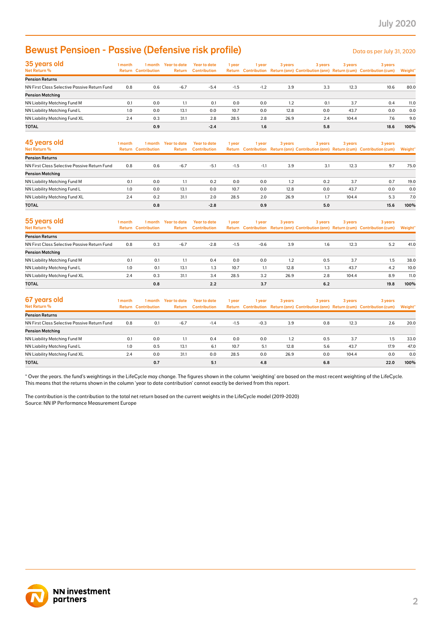# Bewust Pensioen - Passive (Defensive risk profile)

| 35 years old<br>Net Return %                 | 1 month | 1 month<br><b>Return Contribution</b> | <b>Year to date</b><br>Return | <b>Year to date</b><br><b>Contribution</b> | 1 year | 1 year | 3 years | 3 years | 3 years | 3 years<br>Return Contribution Return (ann) Contribution (ann) Return (cum) Contribution (cum) | Weight* |
|----------------------------------------------|---------|---------------------------------------|-------------------------------|--------------------------------------------|--------|--------|---------|---------|---------|------------------------------------------------------------------------------------------------|---------|
| <b>Pension Returns</b>                       |         |                                       |                               |                                            |        |        |         |         |         |                                                                                                |         |
| NN First Class Selective Passive Return Fund | 0.8     | 0.6                                   | $-6.7$                        | $-5.4$                                     | $-1.5$ | $-1.2$ | 3.9     | 3.3     | 12.3    | 10.6                                                                                           | 80.0    |
| <b>Pension Matching</b>                      |         |                                       |                               |                                            |        |        |         |         |         |                                                                                                |         |
| NN Liability Matching Fund M                 | 0.1     | 0.0                                   | 1.1                           | 0.1                                        | 0.0    | 0.0    | 1.2     | 0.1     | 3.7     | 0.4                                                                                            | 11.0    |
| NN Liability Matching Fund L                 | 1.0     | 0.0                                   | 13.1                          | 0.0                                        | 10.7   | 0.0    | 12.8    | 0.0     | 43.7    | 0.0                                                                                            | 0.0     |
| NN Liability Matching Fund XL                | 2.4     | 0.3                                   | 31.1                          | 2.8                                        | 28.5   | 2.8    | 26.9    | 2.4     | 104.4   | 7.6                                                                                            | 9.0     |
| <b>TOTAL</b>                                 |         | 0.9                                   |                               | $-2.4$                                     |        | 1.6    |         | 5.8     |         | 18.6                                                                                           | 100%    |

| <b>Bewust Pensioen - Passive (Defensive risk profile)</b>                                                                                                                                                                                                                                               |         |                                       |                                |                                            |        |        |         |         |         | Data as per July 31, 2020                                                                      |         |
|---------------------------------------------------------------------------------------------------------------------------------------------------------------------------------------------------------------------------------------------------------------------------------------------------------|---------|---------------------------------------|--------------------------------|--------------------------------------------|--------|--------|---------|---------|---------|------------------------------------------------------------------------------------------------|---------|
| 35 years old<br>Net Return %                                                                                                                                                                                                                                                                            | 1 month | <b>Return Contribution</b>            | 1 month Year to date<br>Return | <b>Year to date</b><br><b>Contribution</b> | 1 year | 1 year | 3 years | 3 years | 3 years | 3 years<br>Return Contribution Return (ann) Contribution (ann) Return (cum) Contribution (cum) | Weight' |
| <b>Pension Returns</b>                                                                                                                                                                                                                                                                                  |         |                                       |                                |                                            |        |        |         |         |         |                                                                                                |         |
| NN First Class Selective Passive Return Fund                                                                                                                                                                                                                                                            | 0.8     | 0.6                                   | $-6.7$                         | $-5.4$                                     | $-1.5$ | $-1.2$ | 3.9     | 3.3     | 12.3    | 10.6                                                                                           | 80.0    |
| <b>Pension Matching</b>                                                                                                                                                                                                                                                                                 |         |                                       |                                |                                            |        |        |         |         |         |                                                                                                |         |
| NN Liability Matching Fund M                                                                                                                                                                                                                                                                            | 0.1     | 0.0                                   | 1.1                            | 0.1                                        | 0.0    | 0.0    | 1.2     | 0.1     | 3.7     | 0.4                                                                                            | 11.0    |
| NN Liability Matching Fund L                                                                                                                                                                                                                                                                            | 1.0     | 0.0                                   | 13.1                           | 0.0                                        | 10.7   | 0.0    | 12.8    | 0.0     | 43.7    | 0.0                                                                                            | 0.0     |
| NN Liability Matching Fund XL                                                                                                                                                                                                                                                                           | 2.4     | 0.3                                   | 31.1                           | 2.8                                        | 28.5   | 2.8    | 26.9    | 2.4     | 104.4   | 7.6                                                                                            | 9.0     |
| <b>TOTAL</b>                                                                                                                                                                                                                                                                                            |         | 0.9                                   |                                | $-2.4$                                     |        | 1.6    |         | 5.8     |         | 18.6                                                                                           | 100%    |
| 45 years old<br>Net Return %                                                                                                                                                                                                                                                                            | 1 month | 1 month<br><b>Return Contribution</b> | <b>Year to date</b><br>Return  | <b>Year to date</b><br><b>Contribution</b> | 1 year | 1 year | 3 years | 3 years | 3 years | 3 years<br>Return Contribution Return (ann) Contribution (ann) Return (cum) Contribution (cum) | Weight' |
| <b>Pension Returns</b>                                                                                                                                                                                                                                                                                  |         |                                       |                                |                                            |        |        |         |         |         |                                                                                                |         |
| NN First Class Selective Passive Return Fund                                                                                                                                                                                                                                                            | 0.8     | 0.6                                   | $-6.7$                         | $-5.1$                                     | $-1.5$ | $-1.1$ | 3.9     | 3.1     | 12.3    | 9.7                                                                                            | 75.0    |
| <b>Pension Matching</b>                                                                                                                                                                                                                                                                                 |         |                                       |                                |                                            |        |        |         |         |         |                                                                                                |         |
| NN Liability Matching Fund M                                                                                                                                                                                                                                                                            | 0.1     | 0.0                                   | 1.1                            | 0.2                                        | 0.0    | 0.0    | 1.2     | 0.2     | 3.7     | 0.7                                                                                            | 19.0    |
| NN Liability Matching Fund L                                                                                                                                                                                                                                                                            | 1.0     | 0.0                                   | 13.1                           | 0.0                                        | 10.7   | 0.0    | 12.8    | 0.0     | 43.7    | 0.0                                                                                            | 0.0     |
| NN Liability Matching Fund XL                                                                                                                                                                                                                                                                           | 2.4     | 0.2                                   | 31.1                           | 2.0                                        | 28.5   | 2.0    | 26.9    | 1.7     | 104.4   | 5.3                                                                                            | 7.0     |
| <b>TOTAL</b>                                                                                                                                                                                                                                                                                            |         | 0.8                                   |                                | $-2.8$                                     |        | 0.9    |         | 5.0     |         | 15.6                                                                                           | 100%    |
| 55 years old<br>Net Return %                                                                                                                                                                                                                                                                            | 1 month | 1 month<br><b>Return Contribution</b> | <b>Year to date</b><br>Return  | <b>Year to date</b><br><b>Contribution</b> | 1 year | 1 year | 3 years | 3 years | 3 years | 3 years<br>Return Contribution Return (ann) Contribution (ann) Return (cum) Contribution (cum) | Weight* |
| <b>Pension Returns</b>                                                                                                                                                                                                                                                                                  |         |                                       |                                |                                            |        |        |         |         |         |                                                                                                |         |
| NN First Class Selective Passive Return Fund                                                                                                                                                                                                                                                            | 0.8     | 0.3                                   | $-6.7$                         | $-2.8$                                     | $-1.5$ | $-0.6$ | 3.9     | 1.6     | 12.3    | 5.2                                                                                            | 41.0    |
| <b>Pension Matching</b>                                                                                                                                                                                                                                                                                 |         |                                       |                                |                                            |        |        |         |         |         |                                                                                                |         |
| NN Liability Matching Fund M                                                                                                                                                                                                                                                                            | 0.1     | 0.1                                   | 1.1                            | 0.4                                        | 0.0    | 0.0    | 1.2     | 0.5     | 3.7     | 1.5                                                                                            | 38.0    |
| NN Liability Matching Fund L                                                                                                                                                                                                                                                                            | 1.0     | 0.1                                   | 13.1                           | 1.3                                        | 10.7   | 1.1    | 12.8    | 1.3     | 43.7    | 4.2                                                                                            | 10.0    |
| NN Liability Matching Fund XL                                                                                                                                                                                                                                                                           | 2.4     | 0.3                                   | 31.1                           | 3.4                                        | 28.5   | 3.2    | 26.9    | 2.8     | 104.4   | 8.9                                                                                            | 11.0    |
| <b>TOTAL</b>                                                                                                                                                                                                                                                                                            |         | 0.8                                   |                                | 2.2                                        |        | 3.7    |         | 6.2     |         | 19.8                                                                                           | 100%    |
| 67 years old<br>Net Return %                                                                                                                                                                                                                                                                            | 1 month | 1 month<br><b>Return Contribution</b> | <b>Year to date</b><br>Return  | <b>Year to date</b><br><b>Contribution</b> | 1 year | 1 year | 3 years | 3 years | 3 years | 3 years<br>Return Contribution Return (ann) Contribution (ann) Return (cum) Contribution (cum) | Weight' |
| <b>Pension Returns</b>                                                                                                                                                                                                                                                                                  |         |                                       |                                |                                            |        |        |         |         |         |                                                                                                |         |
| NN First Class Selective Passive Return Fund                                                                                                                                                                                                                                                            | 0.8     | 0.1                                   | -6.7                           | $-1.4$                                     | $-1.5$ | $-0.3$ | 3.9     | 0.8     | 12.3    | 2.6                                                                                            | 20.0    |
| <b>Pension Matching</b>                                                                                                                                                                                                                                                                                 |         |                                       |                                |                                            |        |        |         |         |         |                                                                                                |         |
| NN Liability Matching Fund M                                                                                                                                                                                                                                                                            | 0.1     | 0.0                                   | 1.1                            | 0.4                                        | 0.0    | 0.0    | 1.2     | 0.5     | 3.7     | 1.5                                                                                            | 33.0    |
| NN Liability Matching Fund L                                                                                                                                                                                                                                                                            | 1.0     | 0.5                                   | 13.1                           | 6.1                                        | 10.7   | 5.1    | 12.8    | 5.6     | 43.7    | 17.9                                                                                           | 47.0    |
| NN Liability Matching Fund XL                                                                                                                                                                                                                                                                           | 2.4     | 0.0                                   | 31.1                           | 0.0                                        | 28.5   | 0.0    | 26.9    | 0.0     | 104.4   | 0.0                                                                                            | 0.0     |
| <b>TOTAL</b>                                                                                                                                                                                                                                                                                            |         | 0.7                                   |                                | 5.1                                        |        | 4.8    |         | 6.8     |         | 22.0                                                                                           | 100%    |
| This means that the returns shown in the column 'year to date contribution' cannot exactly be derived from this report.<br>The contribution is the contribution to the total net return based on the current weights in the LifeCycle model (2019-2020)<br>Source: NN IP Performance Measurement Europe |         |                                       |                                |                                            |        |        |         |         |         |                                                                                                |         |
| <b>NN investment</b><br>partners                                                                                                                                                                                                                                                                        |         |                                       |                                |                                            |        |        |         |         |         |                                                                                                |         |

| 55 years old                                 | 1 month | 1 month                    | <b>Year to date</b> | Year to date        | 1 year | l vear | 3 years | 3 years | 3 years | 3 years                                                                             |         |
|----------------------------------------------|---------|----------------------------|---------------------|---------------------|--------|--------|---------|---------|---------|-------------------------------------------------------------------------------------|---------|
| Net Return %                                 |         | <b>Return Contribution</b> | Return              | <b>Contribution</b> |        |        |         |         |         | Return Contribution Return (ann) Contribution (ann) Return (cum) Contribution (cum) | Weight* |
| <b>Pension Returns</b>                       |         |                            |                     |                     |        |        |         |         |         |                                                                                     |         |
| NN First Class Selective Passive Return Fund | 0.8     | 0.3                        | $-6.7$              | $-2.8$              | $-1.5$ | $-0.6$ | 3.9     | 1.6     | 12.3    | 5.2                                                                                 | 41.0    |
| <b>Pension Matching</b>                      |         |                            |                     |                     |        |        |         |         |         |                                                                                     |         |
| NN Liability Matching Fund M                 | 0.1     | 0.1                        | 1.1                 | 0.4                 | 0.0    | 0.0    | 1.2     | 0.5     | 3.7     | 1.5                                                                                 | 38.0    |
| NN Liability Matching Fund L                 | 1.0     | 0.1                        | 13.1                | 1.3                 | 10.7   | 1.1    | 12.8    | 1.3     | 43.7    | 4.2                                                                                 | 10.0    |
| NN Liability Matching Fund XL                | 2.4     | 0.3                        | 31.1                | 3.4                 | 28.5   | 3.2    | 26.9    | 2.8     | 104.4   | 8.9                                                                                 | 11.0    |
| <b>TOTAL</b>                                 |         | 0.8                        |                     | 2.2                 |        | 3.7    |         | 6.2     |         | 19.8                                                                                | 100%    |

| 67 years old                                 | 1 month | 1 month                    | Year to date | Year to date        | 1 year | 1 year | 3 years | 3 years | 3 years | 3 years                                                                             |         |
|----------------------------------------------|---------|----------------------------|--------------|---------------------|--------|--------|---------|---------|---------|-------------------------------------------------------------------------------------|---------|
| Net Return %                                 |         | <b>Return Contribution</b> | Return       | <b>Contribution</b> |        |        |         |         |         | Return Contribution Return (ann) Contribution (ann) Return (cum) Contribution (cum) | Weight* |
| <b>Pension Returns</b>                       |         |                            |              |                     |        |        |         |         |         |                                                                                     |         |
| NN First Class Selective Passive Return Fund | 0.8     | 0.1                        | $-6.7$       | $-1.4$              | $-1.5$ | $-0.3$ | 3.9     | 0.8     | 12.3    | 2.6                                                                                 | 20.0    |
| <b>Pension Matching</b>                      |         |                            |              |                     |        |        |         |         |         |                                                                                     |         |
| NN Liability Matching Fund M                 | 0.1     | 0.0                        | -1.1         | 0.4                 | 0.0    | 0.0    | 1.2     | 0.5     | 3.7     | 1.5                                                                                 | 33.0    |
| NN Liability Matching Fund L                 | 1.0     | 0.5                        | 13.1         | 6.1                 | 10.7   | 5.1    | 12.8    | 5.6     | 43.7    | 17.9                                                                                | 47.0    |
| NN Liability Matching Fund XL                | 2.4     | 0.0                        | 31.1         | 0.0                 | 28.5   | 0.0    | 26.9    | 0.0     | 104.4   | 0.0                                                                                 | 0.0     |
| <b>TOTAL</b>                                 |         | 0.7                        |              | 5.1                 |        | 4.8    |         | 6.8     |         | 22.0                                                                                | 100%    |

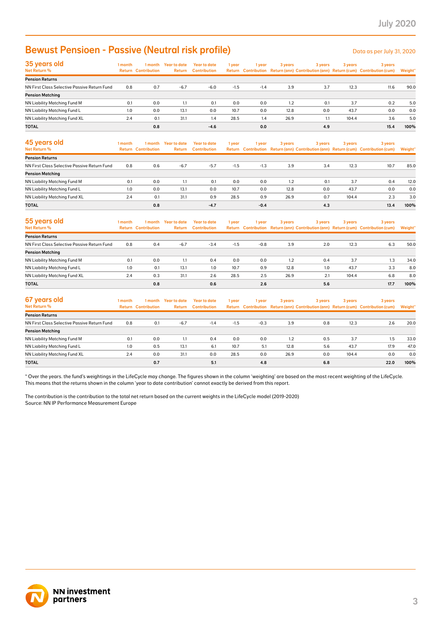# **Bewust Pensioen - Passive (Neutral risk profile)** Description of the Data as per July 31, 2020

| 35 years old                                 | 1 month | 1 month                    | Year to date | Year to date        | 1 year | 1 year | 3 years | 3 years | 3 years | 3 years                                                                             |         |
|----------------------------------------------|---------|----------------------------|--------------|---------------------|--------|--------|---------|---------|---------|-------------------------------------------------------------------------------------|---------|
| Net Return %                                 |         | <b>Return Contribution</b> | Return       | <b>Contribution</b> |        |        |         |         |         | Return Contribution Return (ann) Contribution (ann) Return (cum) Contribution (cum) | Weight* |
| <b>Pension Returns</b>                       |         |                            |              |                     |        |        |         |         |         |                                                                                     |         |
| NN First Class Selective Passive Return Fund | 0.8     | 0.7                        | $-6.7$       | $-6.0$              | $-1.5$ | $-1.4$ | 3.9     | 3.7     | 12.3    | 11.6                                                                                | 90.0    |
| <b>Pension Matching</b>                      |         |                            |              |                     |        |        |         |         |         |                                                                                     |         |
| NN Liability Matching Fund M                 | 0.1     | 0.0                        | 1.1          | 0.1                 | 0.0    | 0.0    | 1.2     | 0.1     | 3.7     | 0.2                                                                                 | 5.0     |
| NN Liability Matching Fund L                 | 1.0     | 0.0                        | 13.1         | 0.0                 | 10.7   | 0.0    | 12.8    | 0.0     | 43.7    | 0.0                                                                                 | 0.0     |
| NN Liability Matching Fund XL                | 2.4     | 0.1                        | 31.1         | 1.4                 | 28.5   | 1.4    | 26.9    | 1.1     | 104.4   | 3.6                                                                                 | 5.0     |
| <b>TOTAL</b>                                 |         | 0.8                        |              | $-4.6$              |        | 0.0    |         | 4.9     |         | 15.4                                                                                | 100%    |

| <b>Bewust Pensioen - Passive (Neutral risk profile)</b>                                                                                                                                                                                                                                                                                                                                                                                                                              |         |                                       |                                |                                            |        |            |         |            |         | Data as per July 31, 2020                                                                      |                |
|--------------------------------------------------------------------------------------------------------------------------------------------------------------------------------------------------------------------------------------------------------------------------------------------------------------------------------------------------------------------------------------------------------------------------------------------------------------------------------------|---------|---------------------------------------|--------------------------------|--------------------------------------------|--------|------------|---------|------------|---------|------------------------------------------------------------------------------------------------|----------------|
| 35 years old<br>Net Return %                                                                                                                                                                                                                                                                                                                                                                                                                                                         | 1 month | <b>Return Contribution</b>            | 1 month Year to date<br>Return | <b>Year to date</b><br><b>Contribution</b> | 1 year | 1 year     | 3 years | 3 years    | 3 years | 3 years<br>Return Contribution Return (ann) Contribution (ann) Return (cum) Contribution (cum) | <b>Weight'</b> |
| <b>Pension Returns</b>                                                                                                                                                                                                                                                                                                                                                                                                                                                               |         |                                       |                                |                                            |        |            |         |            |         |                                                                                                |                |
| NN First Class Selective Passive Return Fund                                                                                                                                                                                                                                                                                                                                                                                                                                         | 0.8     | 0.7                                   | $-6.7$                         | $-6.0$                                     | $-1.5$ | $-1.4$     | 3.9     | 3.7        | 12.3    | 11.6                                                                                           | 90.0           |
| <b>Pension Matching</b><br>NN Liability Matching Fund M                                                                                                                                                                                                                                                                                                                                                                                                                              | 0.1     | 0.0                                   | 1.1                            | 0.1                                        | 0.0    | 0.0        | 1.2     | 0.1        | 3.7     | 0.2                                                                                            | 5.0            |
| NN Liability Matching Fund L                                                                                                                                                                                                                                                                                                                                                                                                                                                         | 1.0     | 0.0                                   | 13.1                           | 0.0                                        | 10.7   | 0.0        | 12.8    | 0.0        | 43.7    | 0.0                                                                                            | 0.0            |
| NN Liability Matching Fund XL                                                                                                                                                                                                                                                                                                                                                                                                                                                        | 2.4     | 0.1                                   | 31.1                           | 1.4                                        | 28.5   | 1.4        | 26.9    | 1.1        | 104.4   | 3.6                                                                                            | 5.0            |
| <b>TOTAL</b>                                                                                                                                                                                                                                                                                                                                                                                                                                                                         |         | 0.8                                   |                                | $-4.6$                                     |        | 0.0        |         | 4.9        |         | 15.4                                                                                           | 100%           |
| 45 years old<br>Net Return %                                                                                                                                                                                                                                                                                                                                                                                                                                                         | 1 month | 1 month<br><b>Return Contribution</b> | <b>Year to date</b><br>Return  | <b>Year to date</b><br><b>Contribution</b> | 1 year | 1 year     | 3 years | 3 years    | 3 years | 3 years<br>Return Contribution Return (ann) Contribution (ann) Return (cum) Contribution (cum) | Weight'        |
| <b>Pension Returns</b>                                                                                                                                                                                                                                                                                                                                                                                                                                                               |         |                                       |                                |                                            |        |            |         |            |         |                                                                                                |                |
| NN First Class Selective Passive Return Fund                                                                                                                                                                                                                                                                                                                                                                                                                                         | 0.8     | 0.6                                   | $-6.7$                         | $-5.7$                                     | $-1.5$ | $-1.3$     | 3.9     | 3.4        | 12.3    | 10.7                                                                                           | 85.0           |
| <b>Pension Matching</b>                                                                                                                                                                                                                                                                                                                                                                                                                                                              |         |                                       |                                |                                            |        |            |         |            |         |                                                                                                |                |
| NN Liability Matching Fund M                                                                                                                                                                                                                                                                                                                                                                                                                                                         | 0.1     | 0.0                                   | 1.1                            | 0.1                                        | 0.0    | 0.0        | 1.2     | 0.1        | 3.7     | 0.4                                                                                            | 12.0           |
| NN Liability Matching Fund L                                                                                                                                                                                                                                                                                                                                                                                                                                                         | 1.0     | 0.0                                   | 13.1                           | 0.0                                        | 10.7   | 0.0        | 12.8    | 0.0        | 43.7    | 0.0                                                                                            | 0.0            |
| NN Liability Matching Fund XL                                                                                                                                                                                                                                                                                                                                                                                                                                                        | 2.4     | 0.1                                   | 31.1                           | 0.9                                        | 28.5   | 0.9        | 26.9    | 0.7        | 104.4   | 2.3                                                                                            | 3.0            |
| <b>TOTAL</b>                                                                                                                                                                                                                                                                                                                                                                                                                                                                         |         | 0.8                                   |                                | $-4.7$                                     |        | $-0.4$     |         | 4.3        |         | 13.4                                                                                           | 100%           |
| 55 years old<br><b>Net Return %</b>                                                                                                                                                                                                                                                                                                                                                                                                                                                  | 1 month | 1 month<br><b>Return Contribution</b> | <b>Year to date</b><br>Return  | <b>Year to date</b><br><b>Contribution</b> | 1 year | 1 year     | 3 years | 3 years    | 3 years | 3 years<br>Return Contribution Return (ann) Contribution (ann) Return (cum) Contribution (cum) | Weight'        |
| <b>Pension Returns</b>                                                                                                                                                                                                                                                                                                                                                                                                                                                               |         |                                       |                                |                                            |        |            |         |            |         |                                                                                                |                |
| NN First Class Selective Passive Return Fund                                                                                                                                                                                                                                                                                                                                                                                                                                         | 0.8     | 0.4                                   | $-6.7$                         | $-3.4$                                     | $-1.5$ | $-0.8$     | 3.9     | 2.0        | 12.3    | 6.3                                                                                            | 50.0           |
| <b>Pension Matching</b>                                                                                                                                                                                                                                                                                                                                                                                                                                                              |         |                                       |                                |                                            |        |            |         |            |         |                                                                                                |                |
| <b>NN Liability Matching Fund M</b>                                                                                                                                                                                                                                                                                                                                                                                                                                                  | 0.1     | 0.0                                   | 1.1                            | 0.4                                        | 0.0    | 0.0        | 1.2     | 0.4        | 3.7     | 1.3                                                                                            | 34.0           |
| NN Liability Matching Fund L                                                                                                                                                                                                                                                                                                                                                                                                                                                         | 1.0     | 0.1                                   | 13.1                           | 1.0                                        | 10.7   | 0.9        | 12.8    | 1.0        | 43.7    | 3.3                                                                                            | 8.0            |
| NN Liability Matching Fund XL                                                                                                                                                                                                                                                                                                                                                                                                                                                        | 2.4     | 0.3                                   | 31.1                           | 2.6                                        | 28.5   | 2.5        | 26.9    | 2.1        | 104.4   | 6.8                                                                                            | 8.0            |
| <b>TOTAL</b>                                                                                                                                                                                                                                                                                                                                                                                                                                                                         |         | 0.8                                   |                                | 0.6                                        |        | 2.6        |         | 5.6        |         | 17.7                                                                                           | 100%           |
| 67 years old<br>Net Return %                                                                                                                                                                                                                                                                                                                                                                                                                                                         | 1 month | 1 month<br><b>Return Contribution</b> | <b>Year to date</b><br>Return  | <b>Year to date</b><br><b>Contribution</b> | 1 year | 1 year     | 3 years | 3 years    | 3 years | 3 years<br>Return Contribution Return (ann) Contribution (ann) Return (cum) Contribution (cum) | Weight'        |
| <b>Pension Returns</b>                                                                                                                                                                                                                                                                                                                                                                                                                                                               |         |                                       |                                |                                            |        |            |         |            |         |                                                                                                |                |
| NN First Class Selective Passive Return Fund                                                                                                                                                                                                                                                                                                                                                                                                                                         | 0.8     | 0.1                                   | $-6.7$                         | $-1.4$                                     | $-1.5$ | $-0.3$     | 3.9     | 0.8        | 12.3    | 2.6                                                                                            | 20.0           |
| <b>Pension Matching</b>                                                                                                                                                                                                                                                                                                                                                                                                                                                              |         |                                       |                                |                                            |        |            |         |            |         |                                                                                                |                |
| NN Liability Matching Fund M                                                                                                                                                                                                                                                                                                                                                                                                                                                         | 0.1     | 0.0                                   | 1.1                            | 0.4                                        | 0.0    | 0.0        | 1.2     | 0.5        | 3.7     | 1.5                                                                                            | 33.0           |
| NN Liability Matching Fund L                                                                                                                                                                                                                                                                                                                                                                                                                                                         | 1.0     | 0.5                                   | 13.1                           | 6.1                                        | 10.7   | 5.1        | 12.8    | 5.6        | 43.7    | 17.9                                                                                           | 47.0           |
| NN Liability Matching Fund XL<br>TOTAL                                                                                                                                                                                                                                                                                                                                                                                                                                               | 2.4     | 0.0<br>0.7                            | 31.1                           | 0.0<br>5.1                                 | 28.5   | 0.0<br>4.8 | 26.9    | 0.0<br>6.8 | 104.4   | 0.0<br>22.0                                                                                    | 0.0<br>100%    |
| * Over the years. the fund's weightings in the LifeCycle may change. The figures shown in the column 'weighting' are based on the most recent weighting of the LifeCycle.<br>This means that the returns shown in the column 'year to date contribution' cannot exactly be derived from this report.<br>The contribution is the contribution to the total net return based on the current weights in the LifeCycle model (2019-2020)<br>Source: NN IP Performance Measurement Europe |         |                                       |                                |                                            |        |            |         |            |         |                                                                                                |                |
|                                                                                                                                                                                                                                                                                                                                                                                                                                                                                      |         |                                       |                                |                                            |        |            |         |            |         |                                                                                                |                |

| 55 years old                                 | 1 month | 1 month                    | <b>Year to date</b> | Year to date        | 1 year | l year | 3 years | 3 years | 3 years | 3 years                                                                             |         |
|----------------------------------------------|---------|----------------------------|---------------------|---------------------|--------|--------|---------|---------|---------|-------------------------------------------------------------------------------------|---------|
| Net Return %                                 |         | <b>Return Contribution</b> | Return              | <b>Contribution</b> |        |        |         |         |         | Return Contribution Return (ann) Contribution (ann) Return (cum) Contribution (cum) | Weight* |
| <b>Pension Returns</b>                       |         |                            |                     |                     |        |        |         |         |         |                                                                                     |         |
| NN First Class Selective Passive Return Fund | 0.8     | 0.4                        | $-6.7$              | $-3.4$              | $-1.5$ | $-0.8$ | 3.9     | 2.0     | 12.3    | 6.3                                                                                 | 50.0    |
| <b>Pension Matching</b>                      |         |                            |                     |                     |        |        |         |         |         |                                                                                     |         |
| NN Liability Matching Fund M                 | 0.1     | 0.0                        | 1.1                 | 0.4                 | 0.0    | 0.0    | 1.2     | 0.4     | 3.7     | 1.3                                                                                 | 34.0    |
| NN Liability Matching Fund L                 | 1.0     | 0.1                        | 13.1                | 1.0                 | 10.7   | 0.9    | 12.8    | 1.0     | 43.7    | 3.3                                                                                 | 8.0     |
| NN Liability Matching Fund XL                | 2.4     | 0.3                        | 31.1                | 2.6                 | 28.5   | 2.5    | 26.9    | 2.1     | 104.4   | 6.8                                                                                 | 8.0     |
| <b>TOTAL</b>                                 |         | 0.8                        |                     | 0.6                 |        | 2.6    |         | 5.6     |         | 17.7                                                                                | 100%    |

| 67 years old                                 | 1 month | 1 month                    | <b>Year to date</b> | <b>Year to date</b> | 1 year | 1 year | 3 years | 3 years | 3 years | 3 years                                                                             |         |
|----------------------------------------------|---------|----------------------------|---------------------|---------------------|--------|--------|---------|---------|---------|-------------------------------------------------------------------------------------|---------|
| Net Return %                                 |         | <b>Return Contribution</b> | Return              | <b>Contribution</b> |        |        |         |         |         | Return Contribution Return (ann) Contribution (ann) Return (cum) Contribution (cum) | Weight* |
| <b>Pension Returns</b>                       |         |                            |                     |                     |        |        |         |         |         |                                                                                     |         |
| NN First Class Selective Passive Return Fund | 0.8     | 0.1                        | $-6.7$              | $-1.4$              | $-1.5$ | $-0.3$ | 3.9     | 0.8     | 12.3    | 2.6                                                                                 | 20.0    |
| <b>Pension Matching</b>                      |         |                            |                     |                     |        |        |         |         |         |                                                                                     |         |
| NN Liability Matching Fund M                 | 0.1     | 0.0                        | 1.1                 | 0.4                 | 0.0    | 0.0    | 1.2     | 0.5     | 3.7     | 1.5                                                                                 | 33.0    |
| NN Liability Matching Fund L                 | 1.0     | 0.5                        | 13.1                | 6.1                 | 10.7   | 5.1    | 12.8    | 5.6     | 43.7    | 17.9                                                                                | 47.0    |
| NN Liability Matching Fund XL                | 2.4     | 0.0                        | 31.1                | 0.0                 | 28.5   | 0.0    | 26.9    | 0.0     | 104.4   | 0.0                                                                                 | 0.0     |
| <b>TOTAL</b>                                 |         | 0.7                        |                     | 5.1                 |        | 4.8    |         | 6.8     |         | 22.0                                                                                | 100%    |